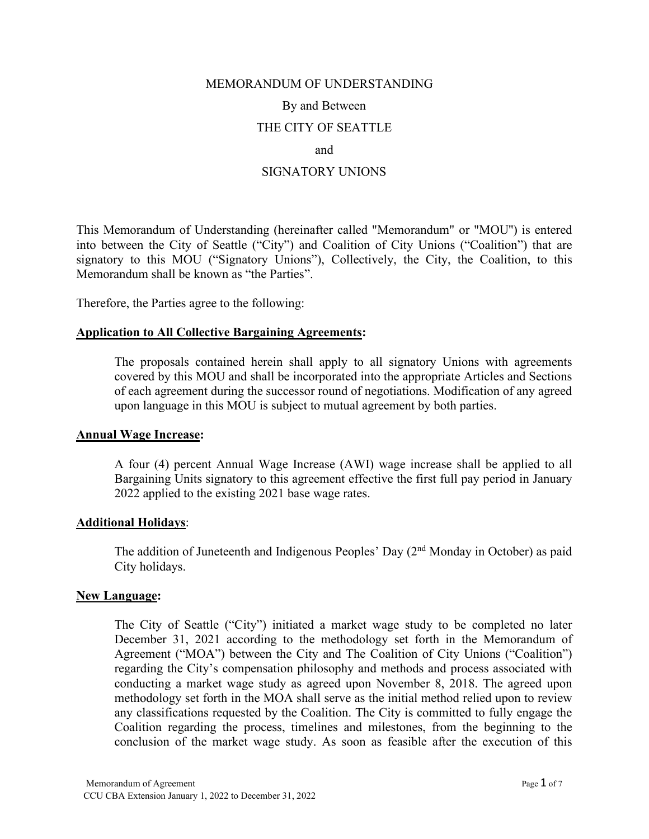# MEMORANDUM OF UNDERSTANDING By and Between THE CITY OF SEATTLE and SIGNATORY UNIONS

This Memorandum of Understanding (hereinafter called "Memorandum" or "MOU'') is entered into between the City of Seattle ("City") and Coalition of City Unions ("Coalition") that are signatory to this MOU ("Signatory Unions"), Collectively, the City, the Coalition, to this Memorandum shall be known as "the Parties".

Therefore, the Parties agree to the following:

#### **Application to All Collective Bargaining Agreements:**

The proposals contained herein shall apply to all signatory Unions with agreements covered by this MOU and shall be incorporated into the appropriate Articles and Sections of each agreement during the successor round of negotiations. Modification of any agreed upon language in this MOU is subject to mutual agreement by both parties.

#### **Annual Wage Increase:**

A four (4) percent Annual Wage Increase (AWI) wage increase shall be applied to all Bargaining Units signatory to this agreement effective the first full pay period in January 2022 applied to the existing 2021 base wage rates.

#### **Additional Holidays**:

The addition of Juneteenth and Indigenous Peoples' Day  $(2<sup>nd</sup>$  Monday in October) as paid City holidays.

#### **New Language:**

The City of Seattle ("City") initiated a market wage study to be completed no later December 31, 2021 according to the methodology set forth in the Memorandum of Agreement ("MOA") between the City and The Coalition of City Unions ("Coalition") regarding the City's compensation philosophy and methods and process associated with conducting a market wage study as agreed upon November 8, 2018. The agreed upon methodology set forth in the MOA shall serve as the initial method relied upon to review any classifications requested by the Coalition. The City is committed to fully engage the Coalition regarding the process, timelines and milestones, from the beginning to the conclusion of the market wage study. As soon as feasible after the execution of this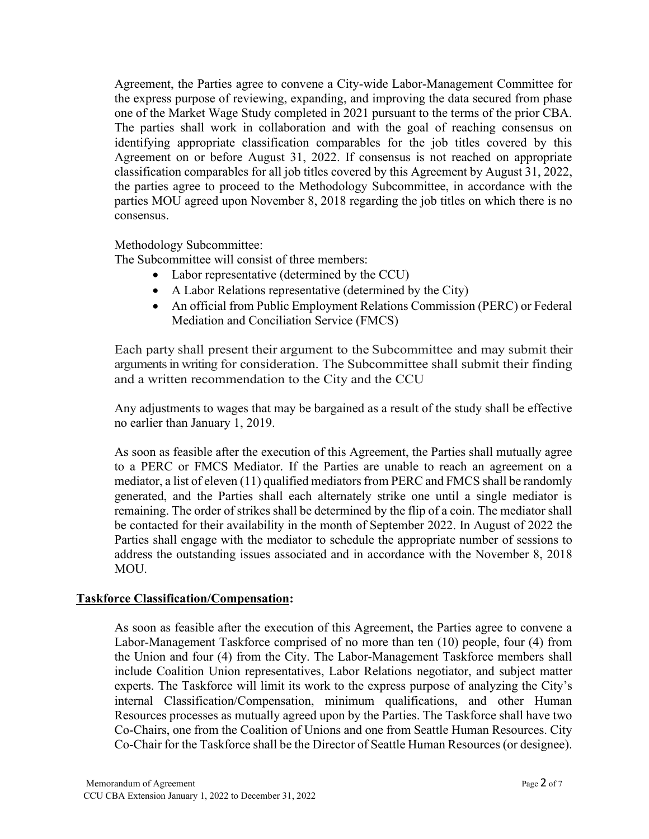Agreement, the Parties agree to convene a City-wide Labor-Management Committee for the express purpose of reviewing, expanding, and improving the data secured from phase one of the Market Wage Study completed in 2021 pursuant to the terms of the prior CBA. The parties shall work in collaboration and with the goal of reaching consensus on identifying appropriate classification comparables for the job titles covered by this Agreement on or before August 31, 2022. If consensus is not reached on appropriate classification comparables for all job titles covered by this Agreement by August 31, 2022, the parties agree to proceed to the Methodology Subcommittee, in accordance with the parties MOU agreed upon November 8, 2018 regarding the job titles on which there is no consensus.

Methodology Subcommittee:

The Subcommittee will consist of three members:

- Labor representative (determined by the CCU)
- A Labor Relations representative (determined by the City)
- An official from Public Employment Relations Commission (PERC) or Federal Mediation and Conciliation Service (FMCS)

Each party shall present their argument to the Subcommittee and may submit their arguments in writing for consideration. The Subcommittee shall submit their finding and a written recommendation to the City and the CCU

Any adjustments to wages that may be bargained as a result of the study shall be effective no earlier than January 1, 2019.

As soon as feasible after the execution of this Agreement, the Parties shall mutually agree to a PERC or FMCS Mediator. If the Parties are unable to reach an agreement on a mediator, a list of eleven (11) qualified mediators from PERC and FMCS shall be randomly generated, and the Parties shall each alternately strike one until a single mediator is remaining. The order of strikes shall be determined by the flip of a coin. The mediator shall be contacted for their availability in the month of September 2022. In August of 2022 the Parties shall engage with the mediator to schedule the appropriate number of sessions to address the outstanding issues associated and in accordance with the November 8, 2018 MOU.

## **Taskforce Classification/Compensation:**

As soon as feasible after the execution of this Agreement, the Parties agree to convene a Labor-Management Taskforce comprised of no more than ten (10) people, four (4) from the Union and four (4) from the City. The Labor-Management Taskforce members shall include Coalition Union representatives, Labor Relations negotiator, and subject matter experts. The Taskforce will limit its work to the express purpose of analyzing the City's internal Classification/Compensation, minimum qualifications, and other Human Resources processes as mutually agreed upon by the Parties. The Taskforce shall have two Co-Chairs, one from the Coalition of Unions and one from Seattle Human Resources. City Co-Chair for the Taskforce shall be the Director of Seattle Human Resources (or designee).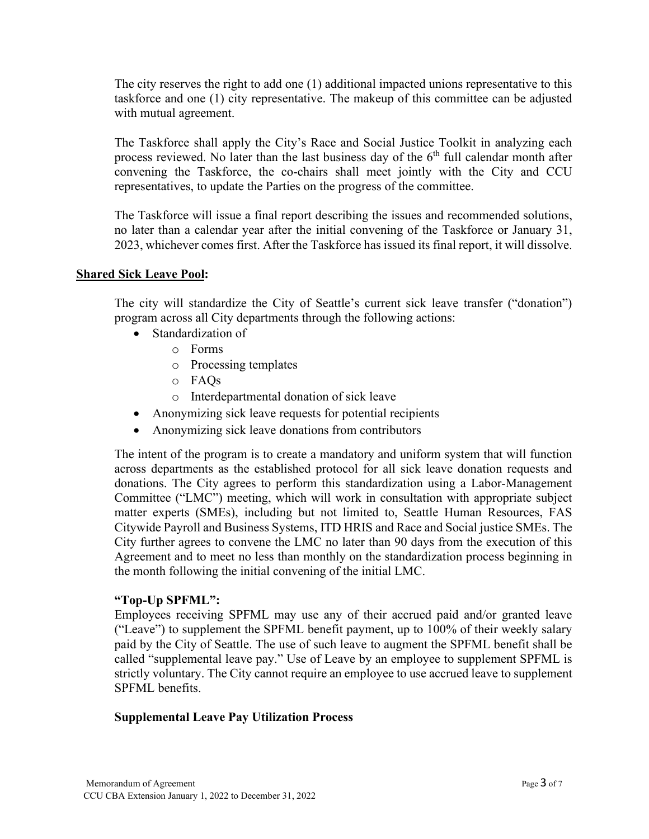The city reserves the right to add one (1) additional impacted unions representative to this taskforce and one (1) city representative. The makeup of this committee can be adjusted with mutual agreement.

The Taskforce shall apply the City's Race and Social Justice Toolkit in analyzing each process reviewed. No later than the last business day of the  $6<sup>th</sup>$  full calendar month after convening the Taskforce, the co-chairs shall meet jointly with the City and CCU representatives, to update the Parties on the progress of the committee.

The Taskforce will issue a final report describing the issues and recommended solutions, no later than a calendar year after the initial convening of the Taskforce or January 31, 2023, whichever comes first. After the Taskforce has issued its final report, it will dissolve.

## **Shared Sick Leave Pool:**

The city will standardize the City of Seattle's current sick leave transfer ("donation") program across all City departments through the following actions:

- Standardization of
	- o Forms
	- o Processing templates
	- o FAQs
	- o Interdepartmental donation of sick leave
- Anonymizing sick leave requests for potential recipients
- Anonymizing sick leave donations from contributors

The intent of the program is to create a mandatory and uniform system that will function across departments as the established protocol for all sick leave donation requests and donations. The City agrees to perform this standardization using a Labor-Management Committee ("LMC") meeting, which will work in consultation with appropriate subject matter experts (SMEs), including but not limited to, Seattle Human Resources, FAS Citywide Payroll and Business Systems, ITD HRIS and Race and Social justice SMEs. The City further agrees to convene the LMC no later than 90 days from the execution of this Agreement and to meet no less than monthly on the standardization process beginning in the month following the initial convening of the initial LMC.

## **"Top-Up SPFML":**

Employees receiving SPFML may use any of their accrued paid and/or granted leave ("Leave") to supplement the SPFML benefit payment, up to 100% of their weekly salary paid by the City of Seattle. The use of such leave to augment the SPFML benefit shall be called "supplemental leave pay." Use of Leave by an employee to supplement SPFML is strictly voluntary. The City cannot require an employee to use accrued leave to supplement SPFML benefits.

## **Supplemental Leave Pay Utilization Process**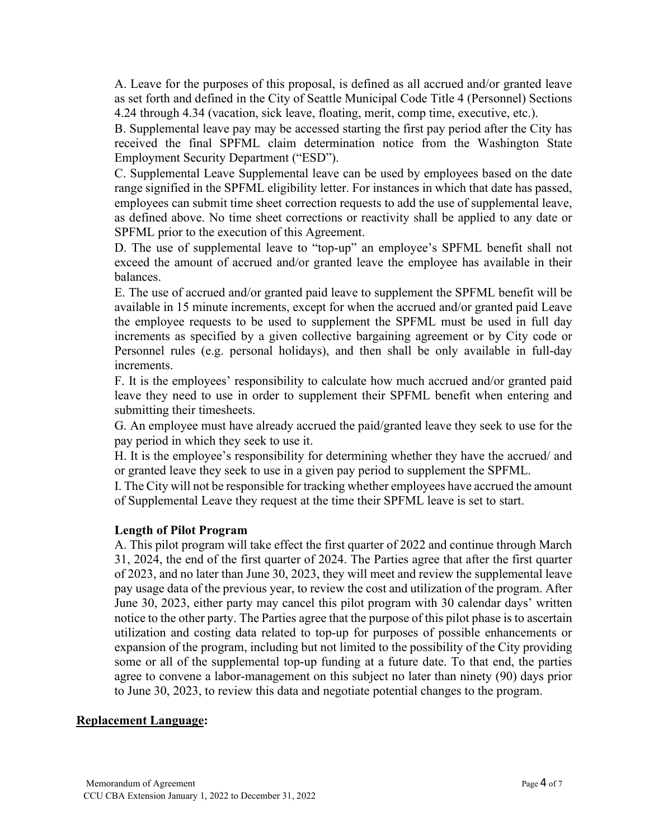A. Leave for the purposes of this proposal, is defined as all accrued and/or granted leave as set forth and defined in the City of Seattle Municipal Code Title 4 (Personnel) Sections 4.24 through 4.34 (vacation, sick leave, floating, merit, comp time, executive, etc.).

B. Supplemental leave pay may be accessed starting the first pay period after the City has received the final SPFML claim determination notice from the Washington State Employment Security Department ("ESD").

C. Supplemental Leave Supplemental leave can be used by employees based on the date range signified in the SPFML eligibility letter. For instances in which that date has passed, employees can submit time sheet correction requests to add the use of supplemental leave, as defined above. No time sheet corrections or reactivity shall be applied to any date or SPFML prior to the execution of this Agreement.

D. The use of supplemental leave to "top-up" an employee's SPFML benefit shall not exceed the amount of accrued and/or granted leave the employee has available in their balances.

E. The use of accrued and/or granted paid leave to supplement the SPFML benefit will be available in 15 minute increments, except for when the accrued and/or granted paid Leave the employee requests to be used to supplement the SPFML must be used in full day increments as specified by a given collective bargaining agreement or by City code or Personnel rules (e.g. personal holidays), and then shall be only available in full-day increments.

F. It is the employees' responsibility to calculate how much accrued and/or granted paid leave they need to use in order to supplement their SPFML benefit when entering and submitting their timesheets.

G. An employee must have already accrued the paid/granted leave they seek to use for the pay period in which they seek to use it.

H. It is the employee's responsibility for determining whether they have the accrued/ and or granted leave they seek to use in a given pay period to supplement the SPFML.

I. The City will not be responsible for tracking whether employees have accrued the amount of Supplemental Leave they request at the time their SPFML leave is set to start.

## **Length of Pilot Program**

A. This pilot program will take effect the first quarter of 2022 and continue through March 31, 2024, the end of the first quarter of 2024. The Parties agree that after the first quarter of 2023, and no later than June 30, 2023, they will meet and review the supplemental leave pay usage data of the previous year, to review the cost and utilization of the program. After June 30, 2023, either party may cancel this pilot program with 30 calendar days' written notice to the other party. The Parties agree that the purpose of this pilot phase is to ascertain utilization and costing data related to top-up for purposes of possible enhancements or expansion of the program, including but not limited to the possibility of the City providing some or all of the supplemental top-up funding at a future date. To that end, the parties agree to convene a labor-management on this subject no later than ninety (90) days prior to June 30, 2023, to review this data and negotiate potential changes to the program.

## **Replacement Language:**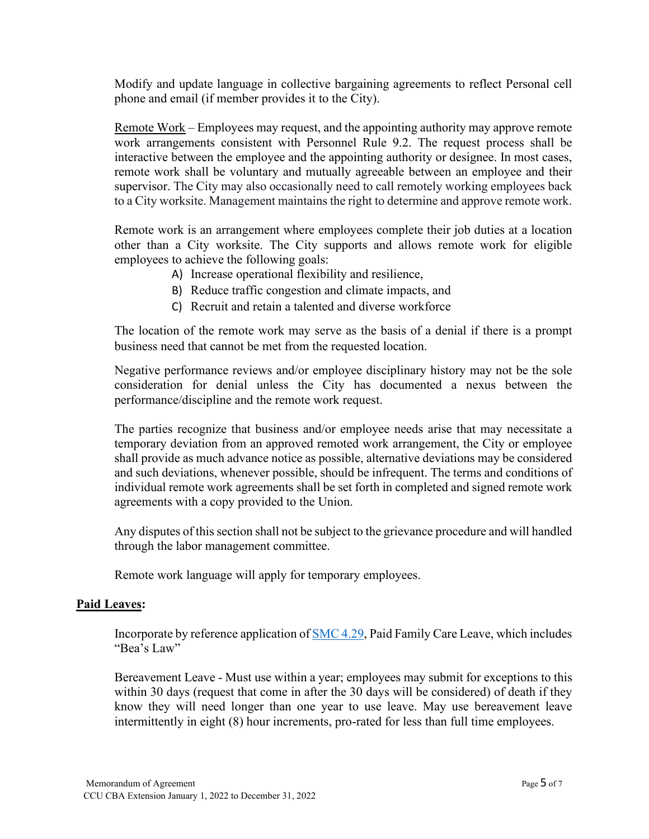Modify and update language in collective bargaining agreements to reflect Personal cell phone and email (if member provides it to the City).

Remote Work – Employees may request, and the appointing authority may approve remote work arrangements consistent with Personnel Rule 9.2. The request process shall be interactive between the employee and the appointing authority or designee. In most cases, remote work shall be voluntary and mutually agreeable between an employee and their supervisor. The City may also occasionally need to call remotely working employees back to a City worksite. Management maintains the right to determine and approve remote work.

Remote work is an arrangement where employees complete their job duties at a location other than a City worksite. The City supports and allows remote work for eligible employees to achieve the following goals:

- A) Increase operational flexibility and resilience,
- B) Reduce traffic congestion and climate impacts, and
- C) Recruit and retain a talented and diverse workforce

The location of the remote work may serve as the basis of a denial if there is a prompt business need that cannot be met from the requested location.

Negative performance reviews and/or employee disciplinary history may not be the sole consideration for denial unless the City has documented a nexus between the performance/discipline and the remote work request.

The parties recognize that business and/or employee needs arise that may necessitate a temporary deviation from an approved remoted work arrangement, the City or employee shall provide as much advance notice as possible, alternative deviations may be considered and such deviations, whenever possible, should be infrequent. The terms and conditions of individual remote work agreements shall be set forth in completed and signed remote work agreements with a copy provided to the Union.

Any disputes of this section shall not be subject to the grievance procedure and will handled through the labor management committee.

Remote work language will apply for temporary employees.

## **Paid Leaves:**

Incorporate by reference application of [SMC 4.29,](https://library.municode.com/wa/seattle/codes/municipal_code?nodeId=TIT4PE_CH4.29PAFACALE) Paid Family Care Leave, which includes "Bea's Law"

Bereavement Leave - Must use within a year; employees may submit for exceptions to this within 30 days (request that come in after the 30 days will be considered) of death if they know they will need longer than one year to use leave. May use bereavement leave intermittently in eight (8) hour increments, pro-rated for less than full time employees.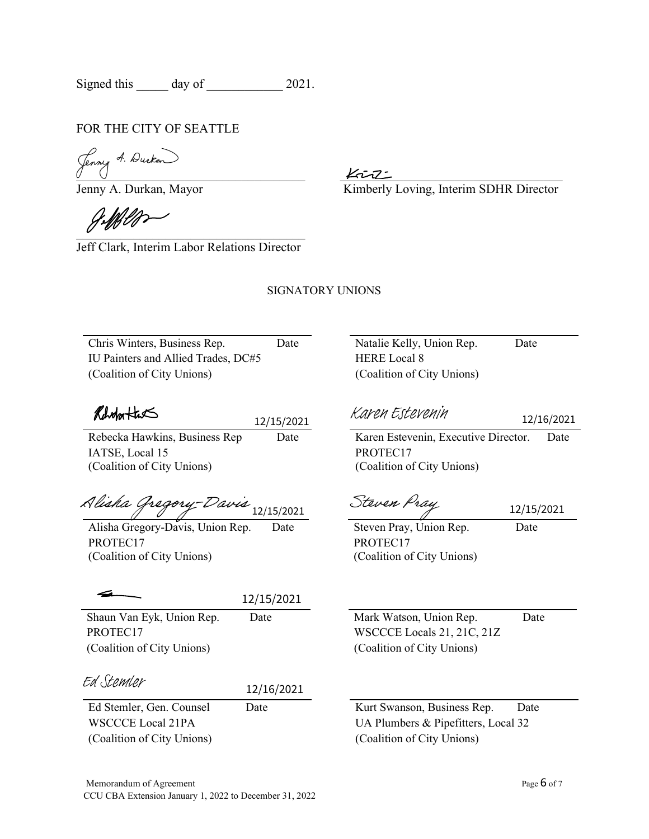Signed this day of 2021.

## FOR THE CITY OF SEATTLE

 $\overline{\phantom{a}}$  $U$   $U$ 

Jenny A. Durkan, Mayor Kimberly Loving, Interim SDHR Director

 $\overline{U}$ 

Jeff Clark, Interim Labor Relations Director

## SIGNATORY UNIONS

Chris Winters, Business Rep. Date Natalie Kelly, Union Rep. Date IU Painters and Allied Trades, DC#5 HERE Local 8 (Coalition of City Unions) (Coalition of City Unions)

Reholm Hast

IATSE, Local 15 (Coalition of City Unions)  $\frac{12/15/2021}{\text{Date}}$ <br> $\frac{2}{12/15/2021}$ <br>p. Date<br> $12/15/2021$ 

[Steven Pray](https://seattlegov.na1.adobesign.com/verifier?tx=CBJCHBCAABAAyS6gKD-ghjQUecFanEs8DYSaPt0waPbL) [Alisha Gregory-Davis](https://seattlegov.na1.adobesign.com/verifier?tx=CBJCHBCAABAAyS6gKD-ghjQUecFanEs8DYSaPt0waPbL) 12/15/2021 12/15/2021

Alisha Gregory-Davis, Union Rep. Date Steven Pray, Union Rep. Date PROTEC17 (Coalition of City Unions)

| the contract of the contract of |
|---------------------------------|
|                                 |

(Coalition of City Unions) (Coalition of City Unions)

[Ed Stemler](https://seattlegov.na1.adobesign.com/verifier?tx=CBJCHBCAABAAyS6gKD-ghjQUecFanEs8DYSaPt0waPbL)

Ed Stemler, Gen. Counsel Date Kurt Swanson, Business Rep. Date 12/16/2021

(Coalition of City Unions) (Coalition of City Unions)

[Karen Estevenin](https://seattlegov.na1.adobesign.com/verifier?tx=CBJCHBCAABAAyS6gKD-ghjQUecFanEs8DYSaPt0waPbL)

12/16/2021

Rebecka Hawkins, Business Rep Date Karen Estevenin, Executive Director. Date PROTEC17 (Coalition of City Unions)

PROTEC17 (Coalition of City Unions)

Shaun Van Eyk, Union Rep. Date Mark Watson, Union Rep. Date PROTEC17 WSCCCE Locals 21, 21C, 21Z

WSCCCE Local 21PA UA Plumbers & Pipefitters, Local 32